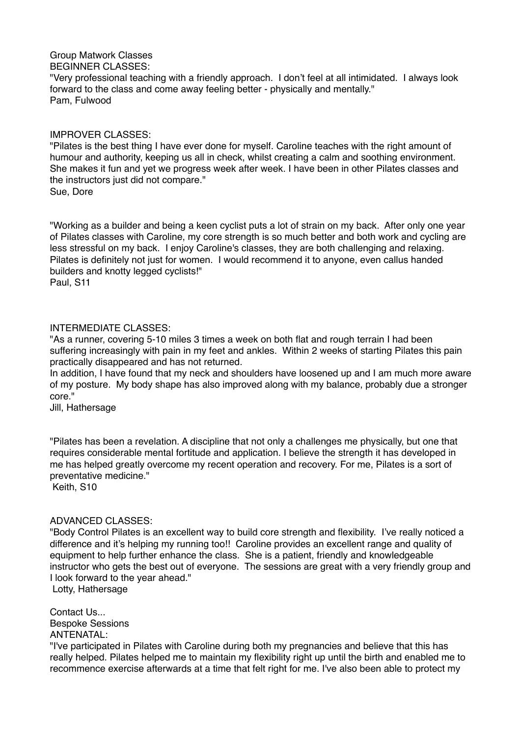Group Matwork Classes BEGINNER CLASSES: "Very professional teaching with a friendly approach. I don't feel at all intimidated. I always look forward to the class and come away feeling better - physically and mentally." Pam, Fulwood

#### IMPROVER CLASSES:

"Pilates is the best thing I have ever done for myself. Caroline teaches with the right amount of humour and authority, keeping us all in check, whilst creating a calm and soothing environment. She makes it fun and yet we progress week after week. I have been in other Pilates classes and the instructors just did not compare."

Sue, Dore

"Working as a builder and being a keen cyclist puts a lot of strain on my back. After only one year of Pilates classes with Caroline, my core strength is so much better and both work and cycling are less stressful on my back. I enjoy Caroline's classes, they are both challenging and relaxing. Pilates is definitely not just for women. I would recommend it to anyone, even callus handed builders and knotty legged cyclists!"

Paul, S11

#### INTERMEDIATE CLASSES:

"As a runner, covering 5-10 miles 3 times a week on both flat and rough terrain I had been suffering increasingly with pain in my feet and ankles. Within 2 weeks of starting Pilates this pain practically disappeared and has not returned.

In addition, I have found that my neck and shoulders have loosened up and I am much more aware of my posture. My body shape has also improved along with my balance, probably due a stronger core."

Jill, Hathersage

"Pilates has been a revelation. A discipline that not only a challenges me physically, but one that requires considerable mental fortitude and application. I believe the strength it has developed in me has helped greatly overcome my recent operation and recovery. For me, Pilates is a sort of preventative medicine."

Keith, S10

# ADVANCED CLASSES:

"Body Control Pilates is an excellent way to build core strength and flexibility. I've really noticed a difference and it's helping my running too!! Caroline provides an excellent range and quality of equipment to help further enhance the class. She is a patient, friendly and knowledgeable instructor who gets the best out of everyone. The sessions are great with a very friendly group and I look forward to the year ahead."

Lotty, Hathersage

Contact Us. Bespoke Sessions ANTENATAL:

"I've participated in Pilates with Caroline during both my pregnancies and believe that this has really helped. Pilates helped me to maintain my flexibility right up until the birth and enabled me to recommence exercise afterwards at a time that felt right for me. I've also been able to protect my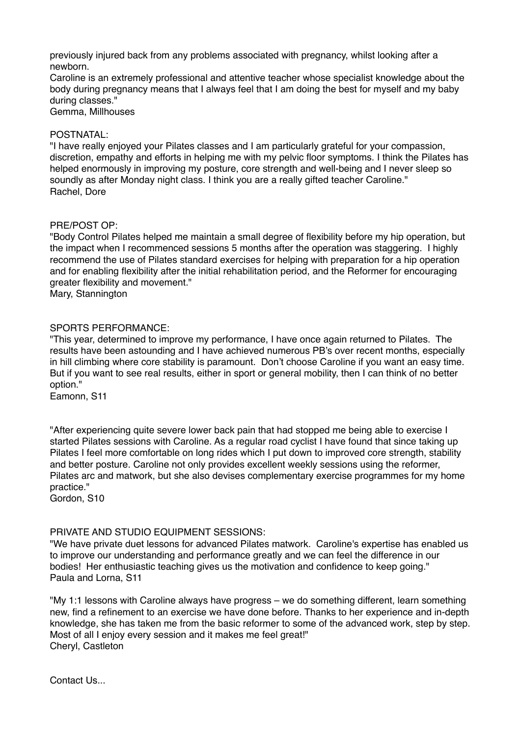previously injured back from any problems associated with pregnancy, whilst looking after a newborn.

Caroline is an extremely professional and attentive teacher whose specialist knowledge about the body during pregnancy means that I always feel that I am doing the best for myself and my baby during classes."

Gemma, Millhouses

### POSTNATAL:

"I have really enjoyed your Pilates classes and I am particularly grateful for your compassion, discretion, empathy and efforts in helping me with my pelvic floor symptoms. I think the Pilates has helped enormously in improving my posture, core strength and well-being and I never sleep so soundly as after Monday night class. I think you are a really gifted teacher Caroline." Rachel, Dore

## PRE/POST OP:

"Body Control Pilates helped me maintain a small degree of flexibility before my hip operation, but the impact when I recommenced sessions 5 months after the operation was staggering. I highly recommend the use of Pilates standard exercises for helping with preparation for a hip operation and for enabling flexibility after the initial rehabilitation period, and the Reformer for encouraging greater flexibility and movement."

Mary, Stannington

## SPORTS PERFORMANCE:

"This year, determined to improve my performance, I have once again returned to Pilates. The results have been astounding and I have achieved numerous PB's over recent months, especially in hill climbing where core stability is paramount. Don't choose Caroline if you want an easy time. But if you want to see real results, either in sport or general mobility, then I can think of no better option."

Eamonn, S11

"After experiencing quite severe lower back pain that had stopped me being able to exercise I started Pilates sessions with Caroline. As a regular road cyclist I have found that since taking up Pilates I feel more comfortable on long rides which I put down to improved core strength, stability and better posture. Caroline not only provides excellent weekly sessions using the reformer, Pilates arc and matwork, but she also devises complementary exercise programmes for my home practice."

Gordon, S10

# PRIVATE AND STUDIO EQUIPMENT SESSIONS:

"We have private duet lessons for advanced Pilates matwork. Caroline's expertise has enabled us to improve our understanding and performance greatly and we can feel the difference in our bodies! Her enthusiastic teaching gives us the motivation and confidence to keep going." Paula and Lorna, S11

"My 1:1 lessons with Caroline always have progress – we do something different, learn something new, find a refinement to an exercise we have done before. Thanks to her experience and in-depth knowledge, she has taken me from the basic reformer to some of the advanced work, step by step. Most of all I enjoy every session and it makes me feel great!" Cheryl, Castleton

Contact Us.